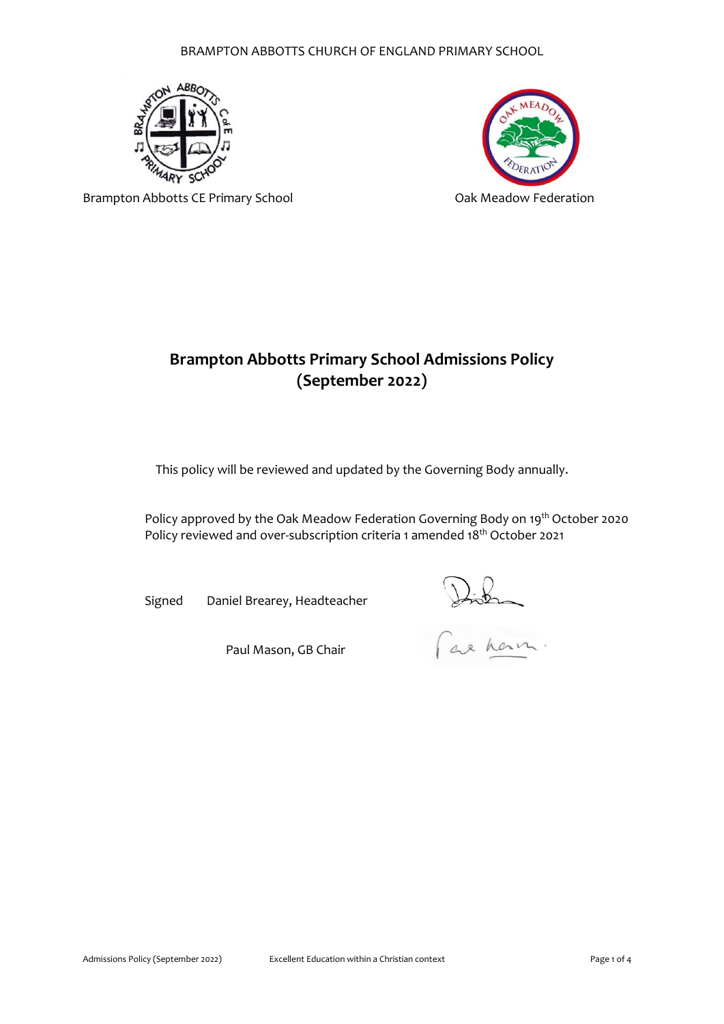# BRAMPTON ABBOTTS CHURCH OF ENGLAND PRIMARY SCHOOL





Brampton Abbotts CE Primary School **CE 1988** Oak Meadow Federation

# **Brampton Abbotts Primary School Admissions Policy (September 2022)**

This policy will be reviewed and updated by the Governing Body annually.

Policy approved by the Oak Meadow Federation Governing Body on 19<sup>th</sup> October 2020 Policy reviewed and over-subscription criteria 1 amended 18<sup>th</sup> October 2021

Signed Daniel Brearey, Headteacher

Paul Mason, GB Chair

Distin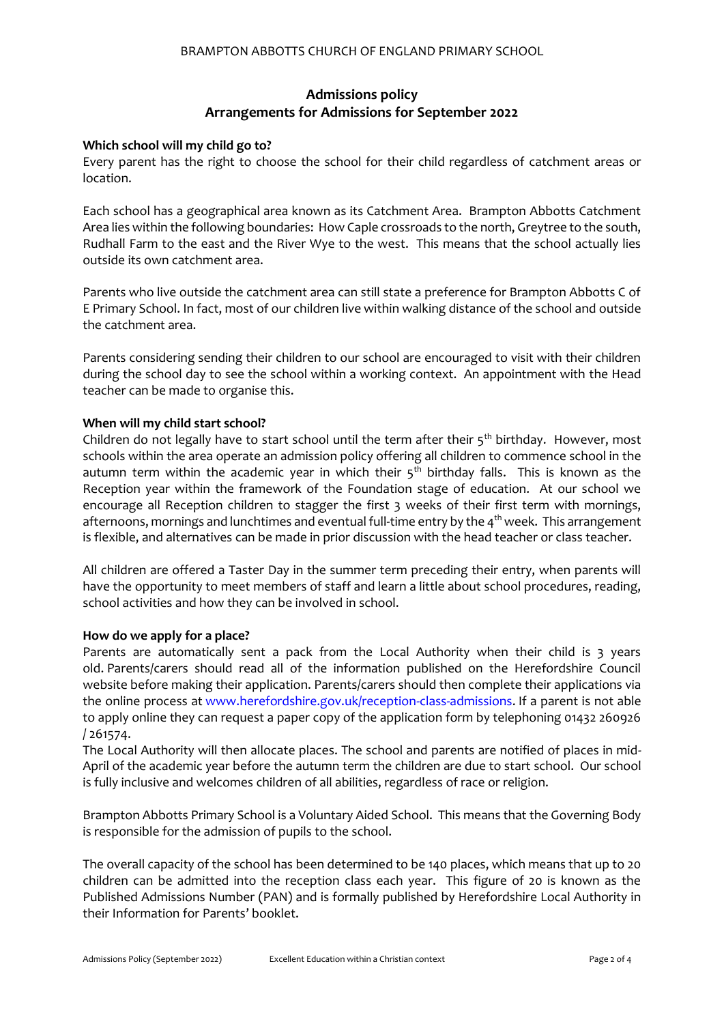# **Admissions policy Arrangements for Admissions for September 2022**

# **Which school will my child go to?**

Every parent has the right to choose the school for their child regardless of catchment areas or location.

Each school has a geographical area known as its Catchment Area. Brampton Abbotts Catchment Area lies within the following boundaries: How Caple crossroads to the north, Greytree to the south, Rudhall Farm to the east and the River Wye to the west. This means that the school actually lies outside its own catchment area.

Parents who live outside the catchment area can still state a preference for Brampton Abbotts C of E Primary School. In fact, most of our children live within walking distance of the school and outside the catchment area.

Parents considering sending their children to our school are encouraged to visit with their children during the school day to see the school within a working context. An appointment with the Head teacher can be made to organise this.

# **When will my child start school?**

Children do not legally have to start school until the term after their  $5<sup>th</sup>$  birthday. However, most schools within the area operate an admission policy offering all children to commence school in the autumn term within the academic year in which their  $5<sup>th</sup>$  birthday falls. This is known as the Reception year within the framework of the Foundation stage of education. At our school we encourage all Reception children to stagger the first 3 weeks of their first term with mornings, afternoons, mornings and lunchtimes and eventual full-time entry by the 4<sup>th</sup> week. This arrangement is flexible, and alternatives can be made in prior discussion with the head teacher or class teacher.

All children are offered a Taster Day in the summer term preceding their entry, when parents will have the opportunity to meet members of staff and learn a little about school procedures, reading, school activities and how they can be involved in school.

# **How do we apply for a place?**

Parents are automatically sent a pack from the Local Authority when their child is 3 years old. Parents/carers should read all of the information published on the Herefordshire Council website before making their application. Parents/carers should then complete their applications via the online process at [www.herefordshire.gov.uk/reception-class-admissions.](http://www.herefordshire.gov.uk/reception-class-admissions) If a parent is not able to apply online they can request a paper copy of the application form by telephoning 01432 260926 / 261574.

The Local Authority will then allocate places. The school and parents are notified of places in mid-April of the academic year before the autumn term the children are due to start school. Our school is fully inclusive and welcomes children of all abilities, regardless of race or religion.

Brampton Abbotts Primary School is a Voluntary Aided School. This means that the Governing Body is responsible for the admission of pupils to the school.

The overall capacity of the school has been determined to be 140 places, which means that up to 20 children can be admitted into the reception class each year. This figure of 20 is known as the Published Admissions Number (PAN) and is formally published by Herefordshire Local Authority in their Information for Parents' booklet.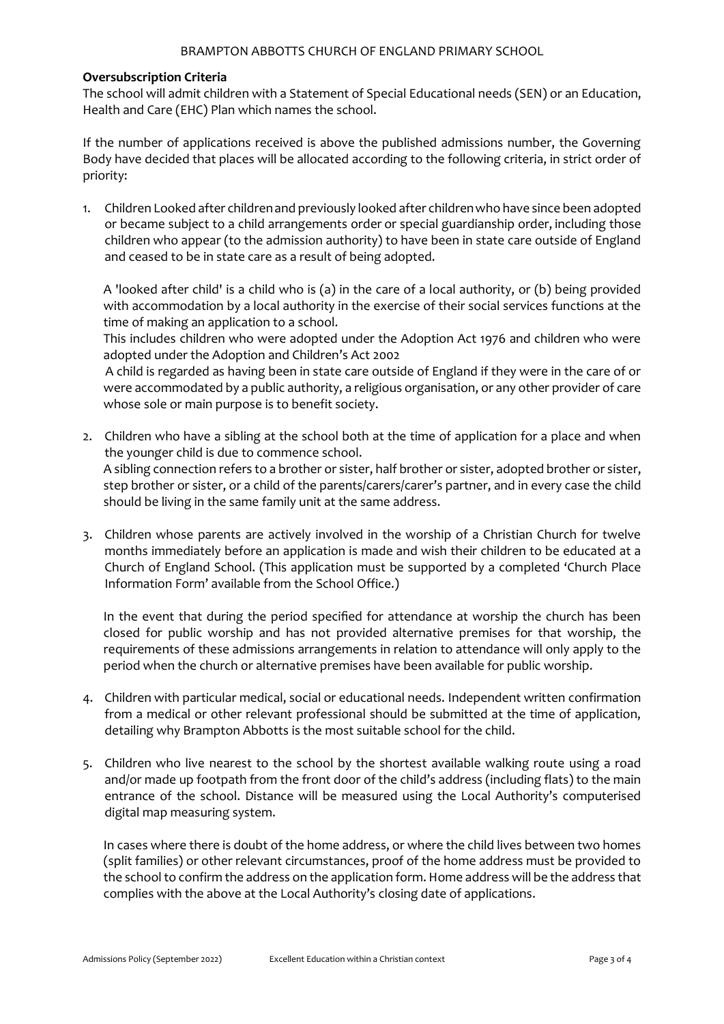#### BRAMPTON ABBOTTS CHURCH OF ENGLAND PRIMARY SCHOOL

#### **Oversubscription Criteria**

The school will admit children with a Statement of Special Educational needs (SEN) or an Education, Health and Care (EHC) Plan which names the school.

If the number of applications received is above the published admissions number, the Governing Body have decided that places will be allocated according to the following criteria, in strict order of priority:

1. Children Looked after childrenand previously looked after childrenwho have since been adopted or became subject to a child arrangements order or special guardianship order, including those children who appear (to the admission authority) to have been in state care outside of England and ceased to be in state care as a result of being adopted.

A 'looked after child' is a child who is (a) in the care of a local authority, or (b) being provided with accommodation by a local authority in the exercise of their social services functions at the time of making an application to a school.

This includes children who were adopted under the Adoption Act 1976 and children who were adopted under the Adoption and Children's Act 2002

A child is regarded as having been in state care outside of England if they were in the care of or were accommodated by a public authority, a religious organisation, or any other provider of care whose sole or main purpose is to benefit society.

- 2. Children who have a sibling at the school both at the time of application for a place and when the younger child is due to commence school. A sibling connection refers to a brother or sister, half brother or sister, adopted brother or sister, step brother or sister, or a child of the parents/carers/carer's partner, and in every case the child should be living in the same family unit at the same address.
- 3. Children whose parents are actively involved in the worship of a Christian Church for twelve months immediately before an application is made and wish their children to be educated at a Church of England School. (This application must be supported by a completed 'Church Place Information Form' available from the School Office.)

In the event that during the period specified for attendance at worship the church has been closed for public worship and has not provided alternative premises for that worship, the requirements of these admissions arrangements in relation to attendance will only apply to the period when the church or alternative premises have been available for public worship.

- 4. Children with particular medical, social or educational needs. Independent written confirmation from a medical or other relevant professional should be submitted at the time of application, detailing why Brampton Abbotts is the most suitable school for the child.
- 5. Children who live nearest to the school by the shortest available walking route using a road and/or made up footpath from the front door of the child's address (including flats) to the main entrance of the school. Distance will be measured using the Local Authority's computerised digital map measuring system.

In cases where there is doubt of the home address, or where the child lives between two homes (split families) or other relevant circumstances, proof of the home address must be provided to the school to confirm the address on the application form. Home address will be the address that complies with the above at the Local Authority's closing date of applications.